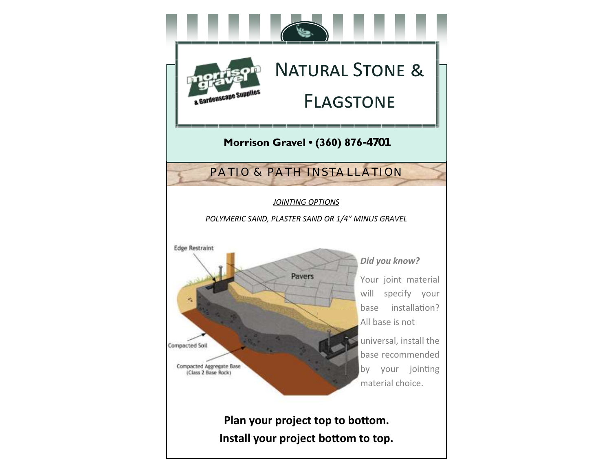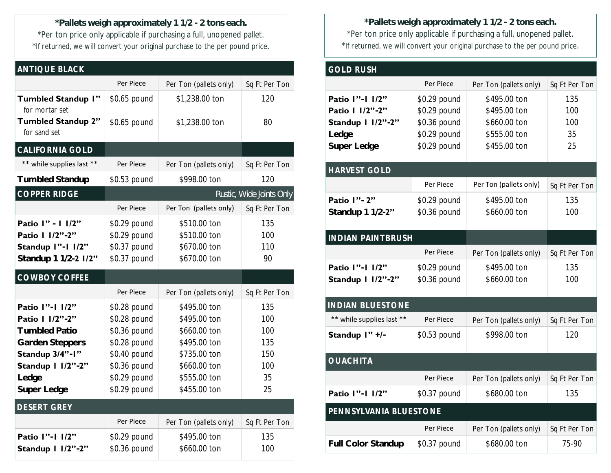**\*Pallets weigh approximately 1 1/2 - 2 tons each.** \*Per ton price only applicable if purchasing a full, unopened pallet. \*If returned, we will convert your original purchase to the per pound price.

| <b>ANTIQUE BLACK</b>                                                                                                                             |                                                                                                                              |                                                                                                                              |                                                    |  |  |
|--------------------------------------------------------------------------------------------------------------------------------------------------|------------------------------------------------------------------------------------------------------------------------------|------------------------------------------------------------------------------------------------------------------------------|----------------------------------------------------|--|--|
|                                                                                                                                                  | Per Piece                                                                                                                    | Per Ton (pallets only)                                                                                                       | Sq Ft Per Ton                                      |  |  |
| <b>Tumbled Standup I"</b>                                                                                                                        | \$0.65 pound                                                                                                                 | \$1,238.00 ton                                                                                                               | 120                                                |  |  |
| for mortar set<br><b>Tumbled Standup 2"</b><br>for sand set                                                                                      | \$0.65 pound                                                                                                                 | \$1,238.00 ton                                                                                                               | 80                                                 |  |  |
| CALIFORNIA GOLD                                                                                                                                  |                                                                                                                              |                                                                                                                              |                                                    |  |  |
| ** while supplies last **                                                                                                                        | Per Piece                                                                                                                    | Per Ton (pallets only)                                                                                                       | Sq Ft Per Ton                                      |  |  |
| <b>Tumbled Standup</b>                                                                                                                           | \$0.53 pound                                                                                                                 | \$998.00 ton                                                                                                                 | 120                                                |  |  |
| <b>COPPER RIDGE</b>                                                                                                                              |                                                                                                                              |                                                                                                                              | Rustic, Wide Joints Only                           |  |  |
|                                                                                                                                                  | Per Piece                                                                                                                    | Per Ton (pallets only)                                                                                                       | Sq Ft Per Ton                                      |  |  |
| Patio I" - 1 1/2"<br>Patio   1/2"-2"<br>Standup I"-1 I/2"<br>Standup 1 1/2-2 1/2"                                                                | \$0.29 pound<br>\$0.29 pound<br>\$0.37 pound<br>\$0.37 pound                                                                 | \$510.00 ton<br>\$510.00 ton<br>\$670.00 ton<br>\$670.00 ton                                                                 | 135<br>100<br>110<br>90                            |  |  |
| COWBOY COFFEE                                                                                                                                    |                                                                                                                              |                                                                                                                              |                                                    |  |  |
|                                                                                                                                                  | Per Piece                                                                                                                    | Per Ton (pallets only)                                                                                                       | Sq Ft Per Ton                                      |  |  |
| Patio I"-1 1/2"<br>Patio   $1/2$ "-2"<br><b>Tumbled Patio</b><br>Garden Steppers<br>Standup 3/4"-1"<br>Standup   1/2"-2"<br>Ledge<br>Super Ledge | \$0.28 pound<br>\$0.28 pound<br>\$0.36 pound<br>\$0.28 pound<br>\$0.40 pound<br>\$0.36 pound<br>\$0.29 pound<br>\$0.29 pound | \$495.00 ton<br>\$495.00 ton<br>\$660.00 ton<br>\$495.00 ton<br>\$735.00 ton<br>\$660.00 ton<br>\$555.00 ton<br>\$455.00 ton | 135<br>100<br>100<br>135<br>150<br>100<br>35<br>25 |  |  |
| <b>DESERT GREY</b>                                                                                                                               |                                                                                                                              |                                                                                                                              |                                                    |  |  |
|                                                                                                                                                  | Per Piece                                                                                                                    | Per Ton (pallets only)                                                                                                       | Sq Ft Per Ton                                      |  |  |
| Patio I"-1 1/2"<br>Standup   $1/2"$ -2"                                                                                                          | \$0.29 pound<br>\$0.36 pound                                                                                                 | \$495.00 ton<br>\$660.00 ton                                                                                                 | 135<br>100                                         |  |  |

**\*Pallets weigh approximately 1 1/2 - 2 tons each.** \*Per ton price only applicable if purchasing a full, unopened pallet. \*If returned, we will convert your original purchase to the per pound price.

| <b>GOLD RUSH</b>                                                                                          |                                                                              |                                                                              |                               |  |
|-----------------------------------------------------------------------------------------------------------|------------------------------------------------------------------------------|------------------------------------------------------------------------------|-------------------------------|--|
|                                                                                                           | Per Piece                                                                    | Per Ton (pallets only)                                                       | Sq Ft Per Ton                 |  |
| Patio I"-1 1/2"<br>Patio   $1/2$ "-2"<br>Standup 1 1/2"-2"<br>Ledge<br>Super Ledge<br><b>HARVEST GOLD</b> | \$0.29 pound<br>\$0.29 pound<br>\$0.36 pound<br>\$0.29 pound<br>\$0.29 pound | \$495.00 ton<br>\$495.00 ton<br>\$660.00 ton<br>\$555.00 ton<br>\$455.00 ton | 135<br>100<br>100<br>35<br>25 |  |
|                                                                                                           | Per Piece                                                                    | Per Ton (pallets only)                                                       | Sq Ft Per Ton                 |  |
| Patio I" - 2"<br>Standup 1 1/2-2"                                                                         | \$0.29 pound<br>\$0.36 pound                                                 | \$495.00 ton<br>\$660.00 ton                                                 | 135<br>100                    |  |
| <b>INDIAN PAINTBRUSH</b>                                                                                  |                                                                              |                                                                              |                               |  |
|                                                                                                           | Per Piece                                                                    | Per Ton (pallets only)                                                       | Sq Ft Per Ton                 |  |
| Patio I"-1 1/2"<br>Standup   1/2"-2"                                                                      | \$0.29 pound<br>\$0.36 pound                                                 | \$495.00 ton<br>\$660.00 ton                                                 | 135<br>100                    |  |
| <b>INDIAN BLUESTONE</b>                                                                                   |                                                                              |                                                                              |                               |  |
| ** while supplies last **                                                                                 | Per Piece                                                                    | Per Ton (pallets only)                                                       | Sq Ft Per Ton                 |  |
| Standup I" +/-                                                                                            | \$0.53 pound                                                                 | \$998.00 ton                                                                 | 120                           |  |
| <b>OUACHITA</b>                                                                                           |                                                                              |                                                                              |                               |  |
|                                                                                                           | Per Piece                                                                    | Per Ton (pallets only)                                                       | Sq Ft Per Ton                 |  |
| Patio I"-1 1/2"                                                                                           | \$0.37 pound                                                                 | \$680.00 ton                                                                 | 135                           |  |
| PENNSYLVANIA BLUESTONE                                                                                    |                                                                              |                                                                              |                               |  |
|                                                                                                           | Per Piece                                                                    | Per Ton (pallets only)                                                       | Sq Ft Per Ton                 |  |
| <b>Full Color Standup</b>                                                                                 | \$0.37 pound                                                                 | \$680.00 ton                                                                 | 75-90                         |  |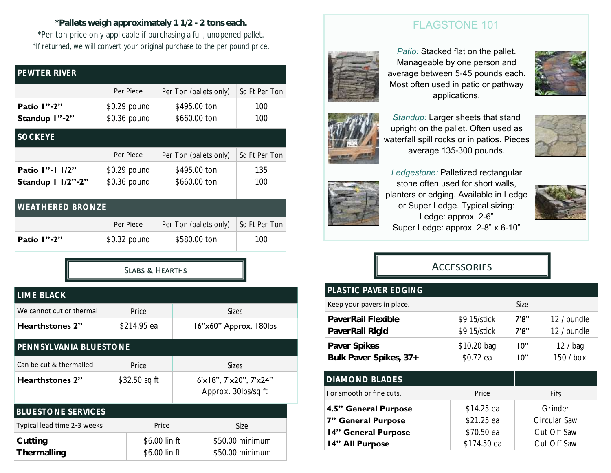**\*Pallets weigh approximately 1 1/2 - 2 tons each.** \*Per ton price only applicable if purchasing a full, unopened pallet. \*If returned, we will convert your original purchase to the per pound price.

| PEWTER RIVER                         |                              |                              |               |  |  |
|--------------------------------------|------------------------------|------------------------------|---------------|--|--|
|                                      | Per Piece                    | Per Ton (pallets only)       | Sq Ft Per Ton |  |  |
| Patio I"-2"<br>Standup I"-2"         | \$0.29 pound<br>\$0.36 pound | \$495.00 ton<br>\$660.00 ton | 100<br>100    |  |  |
| <b>SOCKEYE</b>                       |                              |                              |               |  |  |
|                                      | Per Piece                    | Per Ton (pallets only)       | Sq Ft Per Ton |  |  |
| Patio I"-1 1/2"<br>Standup 1 1/2"-2" | \$0.29 pound<br>\$0.36 pound | \$495.00 ton<br>\$660.00 ton | 135<br>100    |  |  |
| <b>WEATHERED BRONZE</b>              |                              |                              |               |  |  |
|                                      | Per Piece                    | Per Ton (pallets only)       | Sq Ft Per Ton |  |  |
| <b>Patio 1"-2"</b>                   | \$0.32 pound                 | \$580.00 ton                 | 100           |  |  |

Slabs & Hearths

| LIME BLACK                  |               |                                |                        |                                               |  |
|-----------------------------|---------------|--------------------------------|------------------------|-----------------------------------------------|--|
| We cannot cut or thermal    | Price         |                                |                        | <b>Sizes</b>                                  |  |
| Hearthstones 2"             | \$214.95 ea   |                                | 16"x60" Approx. 180lbs |                                               |  |
| PENNSYLVANIA BLUESTONE      |               |                                |                        |                                               |  |
| Can be cut & thermalled     |               | Price<br><b>Sizes</b>          |                        |                                               |  |
| <b>Hearthstones 2"</b>      | \$32.50 sq ft |                                |                        | 6'x18", 7'x20", 7'x24"<br>Approx. 30lbs/sq ft |  |
| <b>BLUESTONE SERVICES</b>   |               |                                |                        |                                               |  |
| Typical lead time 2-3 weeks |               | Price                          |                        | Size                                          |  |
| Cutting<br>Thermalling      |               | \$6.00 lin ft<br>\$6.00 lin ft |                        | \$50.00 minimum<br>\$50.00 minimum            |  |

### FLAGSTONE 101



*Patio:* Stacked flat on the pallet. Manageable by one person and average between 5-45 pounds each. Most often used in patio or pathway applications.



*Standup:* Larger sheets that stand upright on the pallet. Often used as waterfall spill rocks or in patios. Pieces average 135-300 pounds.



*Ledgestone:* Palletized rectangular

stone often used for short walls, planters or edging. Available in Ledge or Super Ledge. Typical sizing: Ledge: approx. 2-6" Super Ledge: approx. 2-8" x 6-10"



## **ACCESSORIES**

| <b>PLASTIC PAVER EDGING</b>            |                              |                |                            |  |
|----------------------------------------|------------------------------|----------------|----------------------------|--|
| Keep your pavers in place.             |                              | Size           |                            |  |
| PaverRail Flexible<br>PaverRail Rigid  | \$9.15/stick<br>\$9.15/stick | 7'8''<br>7'8'' | 12 / bundle<br>12 / bundle |  |
| Paver Spikes<br>Bulk Paver Spikes, 37+ | \$10.20 bag<br>\$0.72 ea     | 10"<br>10"     | 12 / baq<br>150 / box      |  |
| <b>DIAMOND BLADES</b>                  |                              |                |                            |  |
| For smooth or fine cuts.               | Price<br>Fits                |                |                            |  |
| 4.5" General Purpose                   | \$14.25 ea                   |                | Grinder                    |  |
| 7" General Purpose                     | \$21.25 ea                   |                | Circular Saw               |  |
| 14" General Purpose                    | Cut Off Saw<br>\$70.50 ea    |                |                            |  |
| 14" All Purpose                        | Cut Off Saw<br>\$174.50 ea   |                |                            |  |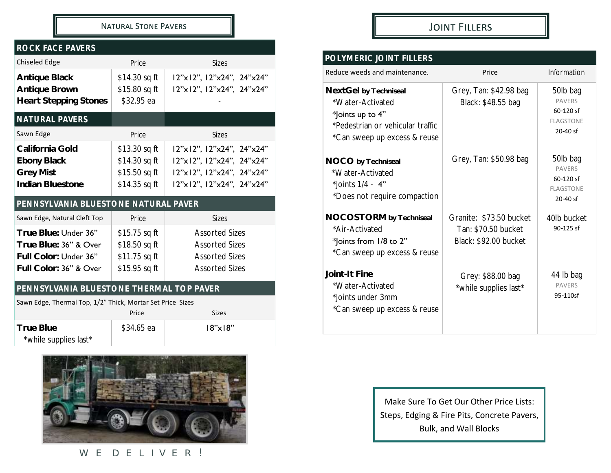#### Natural Stone Pavers

#### *ROCK FACE PAVERS*

| <b>Chiseled Edge</b>                                                                             | Price                                                             | <b>Sizes</b>                                                                                                     |  |
|--------------------------------------------------------------------------------------------------|-------------------------------------------------------------------|------------------------------------------------------------------------------------------------------------------|--|
| Antique Black<br>Antique Brown<br><b>Heart Stepping Stones</b>                                   | \$14.30 sq ft<br>\$15.80 sq ft<br>\$32.95 ea                      | 12"x12", 12"x24", 24"x24"<br>l2"xl2", l2"x24", 24"x24"                                                           |  |
| NATURAL PAVERS                                                                                   |                                                                   |                                                                                                                  |  |
| Sawn Edge                                                                                        | Price                                                             | Sizes                                                                                                            |  |
| California Gold<br>Ebony Black<br><b>Grey Mist</b><br>Indian Bluestone                           | \$13.30 sq ft<br>\$14.30 sq ft<br>\$15.50 sq ft<br>\$14.35 sq ft  | 12"x12", 12"x24", 24"x24"<br>12"x12", 12"x24", 24"x24"<br>12"x12", 12"x24", 24"x24"<br>12"x12", 12"x24", 24"x24" |  |
| PENNSYLVANIA BLUESTONE NATURAL PAVER                                                             |                                                                   |                                                                                                                  |  |
| Sawn Edge, Natural Cleft Top                                                                     | Price                                                             | <b>Sizes</b>                                                                                                     |  |
| True Blue: Under 36"<br>True Blue: 36" & Over<br>Full Color: Under 36"<br>Full Color: 36" & Over | $$15.75$ sq ft<br>\$18.50 sq ft<br>\$11.75 sq ft<br>\$15.95 sq ft | <b>Assorted Sizes</b><br><b>Assorted Sizes</b><br><b>Assorted Sizes</b><br><b>Assorted Sizes</b>                 |  |
| PENNSYLVANIA BLUESTONE THERMAL TOP PAVER                                                         |                                                                   |                                                                                                                  |  |

| Sawn Edge, Thermal Top, 1/2" Thick, Mortar Set Price Sizes |            |                  |  |
|------------------------------------------------------------|------------|------------------|--|
|                                                            | Price      | Sizes            |  |
| True Blue<br>*while supplies last*                         | \$34.65 ea | $18" \times 18"$ |  |



WE DELIVER!

### Joint Fillers

# *POLYMERIC JOINT FILLERS*

| Reduce weeds and maintenance.                                                                                                     | Price                                                                   | Information                                                              |
|-----------------------------------------------------------------------------------------------------------------------------------|-------------------------------------------------------------------------|--------------------------------------------------------------------------|
| NextGel by Techniseal<br>*Water-Activated<br>*Joints up to 4"<br>*Pedestrian or vehicular traffic<br>*Can sweep up excess & reuse | Grey, Tan: \$42.98 bag<br>Black: \$48.55 bag                            | 50lb bag<br><b>PAVERS</b><br>60-120 sf<br><b>FLAGSTONE</b><br>20-40 sf   |
| NOCO by Techniseal<br>*Water-Activated<br>*Joints $1/4 - 4$ "<br>*Does not require compaction                                     | Grey, Tan: \$50.98 bag                                                  | 50lb bag<br><b>PAVERS</b><br>60-120 sf<br><b>FLAGSTONE</b><br>$20-40$ sf |
| NOCOSTORM by Techniseal<br>*Air-Activated<br>*Joints from 1/8 to 2"<br>*Can sweep up excess & reuse                               | Granite: \$73.50 bucket<br>Tan: \$70.50 bucket<br>Black: \$92.00 bucket | 40lb bucket<br>$90 - 125$ sf                                             |
| Joint-It Fine<br>*Water-Activated<br>*Joints under 3mm<br>*Can sweep up excess & reuse                                            | Grey: \$88.00 bag<br>*while supplies last*                              | 44 lb bag<br><b>PAVERS</b><br>95-110sf                                   |

Make Sure To Get Our Other Price Lists: Steps, Edging & Fire Pits, Concrete Pavers, Bulk, and Wall Blocks